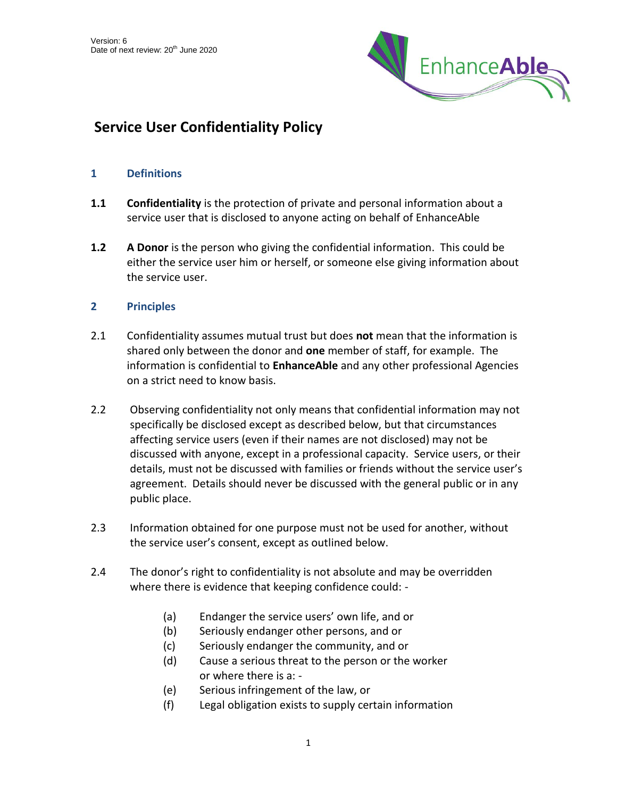

# **Service User Confidentiality Policy**

# **1 Definitions**

- **1.1 Confidentiality** is the protection of private and personal information about a service user that is disclosed to anyone acting on behalf of EnhanceAble
- **1.2 A Donor** is the person who giving the confidential information. This could be either the service user him or herself, or someone else giving information about the service user.

# **2 Principles**

- 2.1 Confidentiality assumes mutual trust but does **not** mean that the information is shared only between the donor and **one** member of staff, for example. The information is confidential to **EnhanceAble** and any other professional Agencies on a strict need to know basis.
- 2.2 Observing confidentiality not only means that confidential information may not specifically be disclosed except as described below, but that circumstances affecting service users (even if their names are not disclosed) may not be discussed with anyone, except in a professional capacity. Service users, or their details, must not be discussed with families or friends without the service user's agreement. Details should never be discussed with the general public or in any public place.
- 2.3 Information obtained for one purpose must not be used for another, without the service user's consent, except as outlined below.
- 2.4 The donor's right to confidentiality is not absolute and may be overridden where there is evidence that keeping confidence could: -
	- (a) Endanger the service users' own life, and or
	- (b) Seriously endanger other persons, and or
	- (c) Seriously endanger the community, and or
	- (d) Cause a serious threat to the person or the worker or where there is a: -
	- (e) Serious infringement of the law, or
	- (f) Legal obligation exists to supply certain information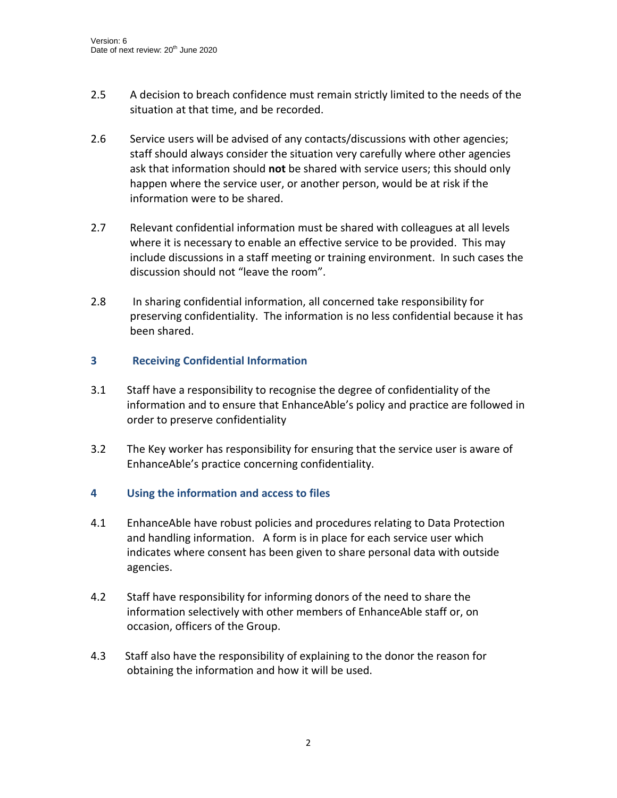- 2.5 A decision to breach confidence must remain strictly limited to the needs of the situation at that time, and be recorded.
- 2.6 Service users will be advised of any contacts/discussions with other agencies; staff should always consider the situation very carefully where other agencies ask that information should **not** be shared with service users; this should only happen where the service user, or another person, would be at risk if the information were to be shared.
- 2.7 Relevant confidential information must be shared with colleagues at all levels where it is necessary to enable an effective service to be provided. This may include discussions in a staff meeting or training environment. In such cases the discussion should not "leave the room".
- 2.8 In sharing confidential information, all concerned take responsibility for preserving confidentiality. The information is no less confidential because it has been shared.

# **3 Receiving Confidential Information**

- 3.1 Staff have a responsibility to recognise the degree of confidentiality of the information and to ensure that EnhanceAble's policy and practice are followed in order to preserve confidentiality
- 3.2 The Key worker has responsibility for ensuring that the service user is aware of EnhanceAble's practice concerning confidentiality.

# **4 Using the information and access to files**

- 4.1 EnhanceAble have robust policies and procedures relating to Data Protection and handling information. A form is in place for each service user which indicates where consent has been given to share personal data with outside agencies.
- 4.2 Staff have responsibility for informing donors of the need to share the information selectively with other members of EnhanceAble staff or, on occasion, officers of the Group.
- 4.3 Staff also have the responsibility of explaining to the donor the reason for obtaining the information and how it will be used.